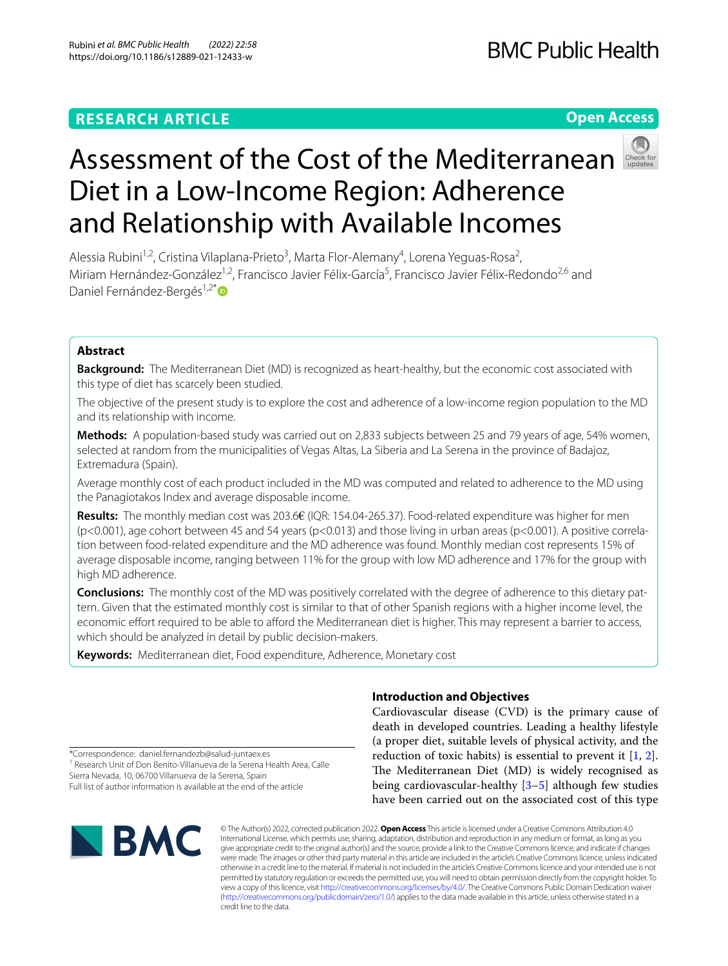## **RESEARCH ARTICLE**

## **Open Access**



# Assessment of the Cost of the Mediterranean Diet in a Low-Income Region: Adherence and Relationship with Available Incomes

Alessia Rubini<sup>1,2</sup>, Cristina Vilaplana-Prieto<sup>3</sup>, Marta Flor-Alemany<sup>4</sup>, Lorena Yeguas-Rosa<sup>2</sup>, Miriam Hernández-González<sup>1,2</sup>, Francisco Javier Félix-García<sup>5</sup>, Francisco Javier Félix-Redondo<sup>2,6</sup> and Daniel Fernández-Bergés<sup>1,2[\\*](http://orcid.org/0000-0002-9561-2901)</sup>

## **Abstract**

**Background:** The Mediterranean Diet (MD) is recognized as heart-healthy, but the economic cost associated with this type of diet has scarcely been studied.

The objective of the present study is to explore the cost and adherence of a low-income region population to the MD and its relationship with income.

**Methods:** A population-based study was carried out on 2,833 subjects between 25 and 79 years of age, 54% women, selected at random from the municipalities of Vegas Altas, La Siberia and La Serena in the province of Badajoz, Extremadura (Spain).

Average monthly cost of each product included in the MD was computed and related to adherence to the MD using the Panagiotakos Index and average disposable income.

**Results:** The monthly median cost was 203.6€ (IQR: 154.04-265.37). Food-related expenditure was higher for men  $(p<0.001)$ , age cohort between 45 and 54 years  $(p<0.013)$  and those living in urban areas  $(p<0.001)$ . A positive correlation between food-related expenditure and the MD adherence was found. Monthly median cost represents 15% of average disposable income, ranging between 11% for the group with low MD adherence and 17% for the group with high MD adherence.

**Conclusions:** The monthly cost of the MD was positively correlated with the degree of adherence to this dietary pat‑ tern. Given that the estimated monthly cost is similar to that of other Spanish regions with a higher income level, the economic effort required to be able to afford the Mediterranean diet is higher. This may represent a barrier to access, which should be analyzed in detail by public decision-makers.

**Keywords:** Mediterranean diet, Food expenditure, Adherence, Monetary cost

## **Introduction and Objectives**

Cardiovascular disease (CVD) is the primary cause of death in developed countries. Leading a healthy lifestyle (a proper diet, suitable levels of physical activity, and the reduction of toxic habits) is essential to prevent it  $[1, 2]$  $[1, 2]$  $[1, 2]$  $[1, 2]$ . The Mediterranean Diet (MD) is widely recognised as being cardiovascular-healthy [\[3–](#page-7-2)[5\]](#page-7-3) although few studies have been carried out on the associated cost of this type

\*Correspondence: daniel.fernandezb@salud-juntaex.es <sup>1</sup> Research Unit of Don Benito-Villanueva de la Serena Health Area, Calle

Sierra Nevada, 10, 06700 Villanueva de la Serena, Spain Full list of author information is available at the end of the article



© The Author(s) 2022, corrected publication 2022. **Open Access** This article is licensed under a Creative Commons Attribution 4.0 International License, which permits use, sharing, adaptation, distribution and reproduction in any medium or format, as long as you give appropriate credit to the original author(s) and the source, provide a link to the Creative Commons licence, and indicate if changes were made. The images or other third party material in this article are included in the article's Creative Commons licence, unless indicated otherwise in a credit line to the material. If material is not included in the article's Creative Commons licence and your intended use is not permitted by statutory regulation or exceeds the permitted use, you will need to obtain permission directly from the copyright holder. To view a copy of this licence, visit [http://creativecommons.org/licenses/by/4.0/.](http://creativecommons.org/licenses/by/4.0/) The Creative Commons Public Domain Dedication waiver [\(http://creativecommons.org/publicdomain/zero/1.0/\)](http://creativecommons.org/publicdomain/zero/1.0/) applies to the data made available in this article, unless otherwise stated in a credit line to the data.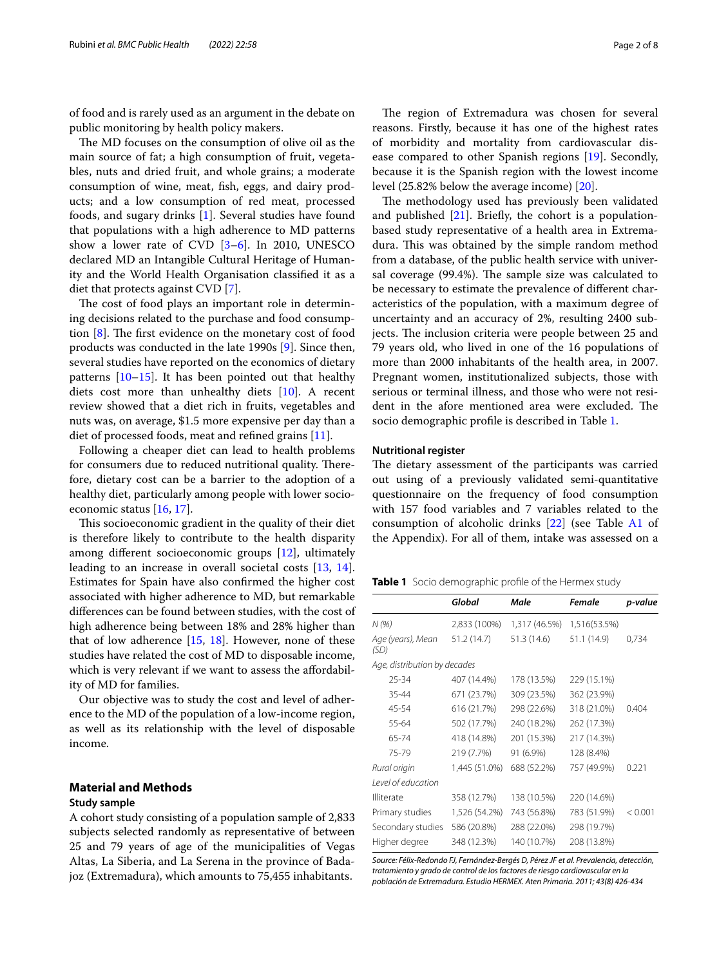of food and is rarely used as an argument in the debate on public monitoring by health policy makers.

The MD focuses on the consumption of olive oil as the main source of fat; a high consumption of fruit, vegetables, nuts and dried fruit, and whole grains; a moderate consumption of wine, meat, fsh, eggs, and dairy products; and a low consumption of red meat, processed foods, and sugary drinks [\[1](#page-7-0)]. Several studies have found that populations with a high adherence to MD patterns show a lower rate of CVD [[3](#page-7-2)[–6](#page-7-4)]. In 2010, UNESCO declared MD an Intangible Cultural Heritage of Humanity and the World Health Organisation classifed it as a diet that protects against CVD [[7\]](#page-7-5).

The cost of food plays an important role in determining decisions related to the purchase and food consumption  $[8]$  $[8]$ . The first evidence on the monetary cost of food products was conducted in the late 1990s [\[9](#page-7-7)]. Since then, several studies have reported on the economics of dietary patterns  $[10-15]$  $[10-15]$  $[10-15]$ . It has been pointed out that healthy diets cost more than unhealthy diets [\[10\]](#page-7-8). A recent review showed that a diet rich in fruits, vegetables and nuts was, on average, \$1.5 more expensive per day than a diet of processed foods, meat and refned grains [\[11\]](#page-7-10).

Following a cheaper diet can lead to health problems for consumers due to reduced nutritional quality. Therefore, dietary cost can be a barrier to the adoption of a healthy diet, particularly among people with lower socioeconomic status [\[16](#page-7-11), [17\]](#page-7-12).

This socioeconomic gradient in the quality of their diet is therefore likely to contribute to the health disparity among diferent socioeconomic groups [[12\]](#page-7-13), ultimately leading to an increase in overall societal costs [\[13](#page-7-14), [14](#page-7-15)]. Estimates for Spain have also confrmed the higher cost associated with higher adherence to MD, but remarkable diferences can be found between studies, with the cost of high adherence being between 18% and 28% higher than that of low adherence  $[15, 18]$  $[15, 18]$  $[15, 18]$  $[15, 18]$ . However, none of these studies have related the cost of MD to disposable income, which is very relevant if we want to assess the affordability of MD for families.

Our objective was to study the cost and level of adherence to the MD of the population of a low-income region, as well as its relationship with the level of disposable income.

## **Material and Methods**

#### **Study sample**

A cohort study consisting of a population sample of 2,833 subjects selected randomly as representative of between 25 and 79 years of age of the municipalities of Vegas Altas, La Siberia, and La Serena in the province of Badajoz (Extremadura), which amounts to 75,455 inhabitants.

The region of Extremadura was chosen for several reasons. Firstly, because it has one of the highest rates of morbidity and mortality from cardiovascular disease compared to other Spanish regions [[19\]](#page-7-17). Secondly, because it is the Spanish region with the lowest income level (25.82% below the average income) [[20\]](#page-7-18).

The methodology used has previously been validated and published  $[21]$  $[21]$ . Briefly, the cohort is a populationbased study representative of a health area in Extremadura. This was obtained by the simple random method from a database, of the public health service with universal coverage (99.4%). The sample size was calculated to be necessary to estimate the prevalence of diferent characteristics of the population, with a maximum degree of uncertainty and an accuracy of 2%, resulting 2400 subjects. The inclusion criteria were people between 25 and 79 years old, who lived in one of the 16 populations of more than 2000 inhabitants of the health area, in 2007. Pregnant women, institutionalized subjects, those with serious or terminal illness, and those who were not resident in the afore mentioned area were excluded. The socio demographic profle is described in Table [1](#page-1-0).

#### **Nutritional register**

The dietary assessment of the participants was carried out using of a previously validated semi-quantitative questionnaire on the frequency of food consumption with 157 food variables and 7 variables related to the consumption of alcoholic drinks  $[22]$  (see Table [A1](#page-6-0) of the Appendix). For all of them, intake was assessed on a

<span id="page-1-0"></span>**Table 1** Socio demographic profle of the Hermex study

|                              | Global        | Male          | Female       | p-value |
|------------------------------|---------------|---------------|--------------|---------|
| N(%)                         | 2,833 (100%)  | 1,317 (46.5%) | 1,516(53.5%) |         |
| Age (years), Mean<br>(SD)    | 51.2 (14.7)   | 51.3 (14.6)   | 51.1 (14.9)  | 0,734   |
| Age, distribution by decades |               |               |              |         |
| 25-34                        | 407 (14.4%)   | 178 (13.5%)   | 229 (15.1%)  |         |
| 35-44                        | 671 (23.7%)   | 309 (23.5%)   | 362 (23.9%)  |         |
| 45-54                        | 616 (21.7%)   | 298 (22.6%)   | 318 (21.0%)  | 0.404   |
| 55-64                        | 502 (17.7%)   | 240 (18.2%)   | 262 (17.3%)  |         |
| 65-74                        | 418 (14.8%)   | 201 (15.3%)   | 217 (14.3%)  |         |
| 75-79                        | 219 (7.7%)    | 91 (6.9%)     | 128 (8.4%)   |         |
| Rural origin                 | 1,445 (51.0%) | 688 (52.2%)   | 757 (49.9%)  | 0.221   |
| Level of education           |               |               |              |         |
| Illiterate                   | 358 (12.7%)   | 138 (10.5%)   | 220 (14.6%)  |         |
| Primary studies              | 1,526 (54.2%) | 743 (56.8%)   | 783 (51.9%)  | < 0.001 |
| Secondary studies            | 586 (20.8%)   | 288 (22.0%)   | 298 (19.7%)  |         |
| Higher degree                | 348 (12.3%)   | 140 (10.7%)   | 208 (13.8%)  |         |

*Source: Félix-Redondo FJ, Fernández-Bergés D, Pérez JF et al. Prevalencia, detección, tratamiento y grado de control de los factores de riesgo cardiovascular en la población de Extremadura. Estudio HERMEX. Aten Primaria. 2011; 43(8) 426-434*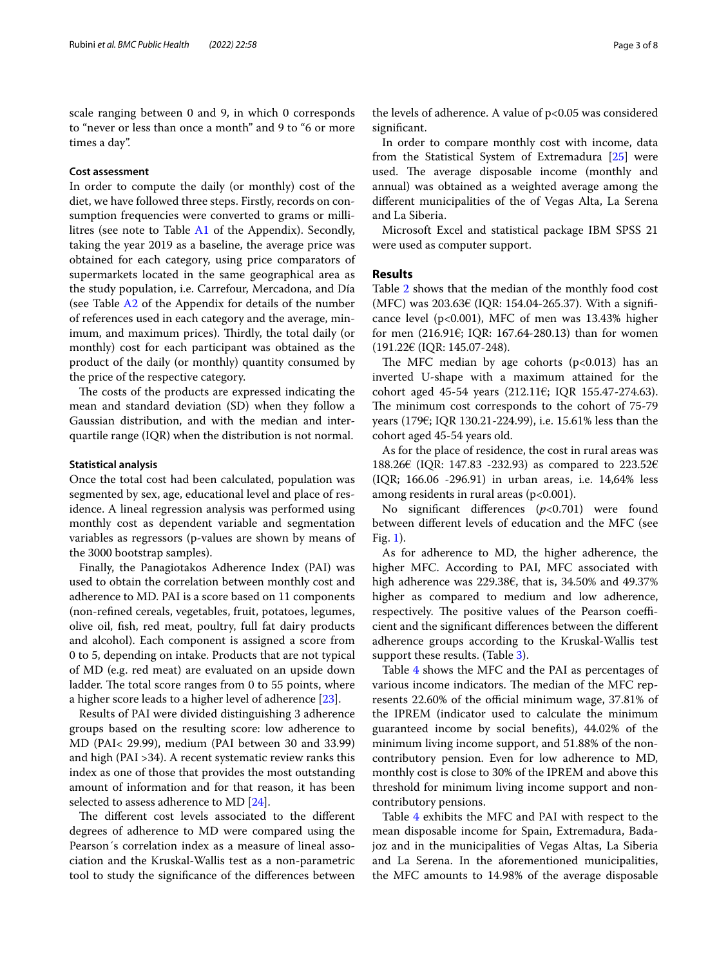scale ranging between 0 and 9, in which 0 corresponds to "never or less than once a month" and 9 to "6 or more times a day".

## **Cost assessment**

In order to compute the daily (or monthly) cost of the diet, we have followed three steps. Firstly, records on consumption frequencies were converted to grams or millilitres (see note to Table [A1](#page-6-0) of the Appendix). Secondly, taking the year 2019 as a baseline, the average price was obtained for each category, using price comparators of supermarkets located in the same geographical area as the study population, i.e. Carrefour, Mercadona, and Día (see Table [A2](#page-6-0) of the Appendix for details of the number of references used in each category and the average, minimum, and maximum prices). Thirdly, the total daily (or monthly) cost for each participant was obtained as the product of the daily (or monthly) quantity consumed by the price of the respective category.

The costs of the products are expressed indicating the mean and standard deviation (SD) when they follow a Gaussian distribution, and with the median and interquartile range (IQR) when the distribution is not normal.

#### **Statistical analysis**

Once the total cost had been calculated, population was segmented by sex, age, educational level and place of residence. A lineal regression analysis was performed using monthly cost as dependent variable and segmentation variables as regressors (p-values are shown by means of the 3000 bootstrap samples).

Finally, the Panagiotakos Adherence Index (PAI) was used to obtain the correlation between monthly cost and adherence to MD. PAI is a score based on 11 components (non-refned cereals, vegetables, fruit, potatoes, legumes, olive oil, fsh, red meat, poultry, full fat dairy products and alcohol). Each component is assigned a score from 0 to 5, depending on intake. Products that are not typical of MD (e.g. red meat) are evaluated on an upside down ladder. The total score ranges from 0 to 55 points, where a higher score leads to a higher level of adherence [[23\]](#page-7-21).

Results of PAI were divided distinguishing 3 adherence groups based on the resulting score: low adherence to MD (PAI< 29.99), medium (PAI between 30 and 33.99) and high (PAI >34). A recent systematic review ranks this index as one of those that provides the most outstanding amount of information and for that reason, it has been selected to assess adherence to MD [\[24\]](#page-7-22).

The different cost levels associated to the different degrees of adherence to MD were compared using the Pearson´s correlation index as a measure of lineal association and the Kruskal-Wallis test as a non-parametric tool to study the signifcance of the diferences between the levels of adherence. A value of p<0.05 was considered signifcant.

In order to compare monthly cost with income, data from the Statistical System of Extremadura [\[25\]](#page-7-23) were used. The average disposable income (monthly and annual) was obtained as a weighted average among the diferent municipalities of the of Vegas Alta, La Serena and La Siberia.

Microsoft Excel and statistical package IBM SPSS 21 were used as computer support.

## **Results**

Table [2](#page-3-0) shows that the median of the monthly food cost (MFC) was  $203.63€$  (IQR: 154.04-265.37). With a significance level (p<0.001), MFC of men was 13.43% higher for men (216.91€; IQR: 167.64-280.13) than for women (191.22€ (IQR: 145.07-248).

The MFC median by age cohorts  $(p<0.013)$  has an inverted U-shape with a maximum attained for the cohort aged 45-54 years (212.11€; IQR 155.47-274.63). The minimum cost corresponds to the cohort of 75-79 years (179€; IQR 130.21-224.99), i.e. 15.61% less than the cohort aged 45-54 years old.

As for the place of residence, the cost in rural areas was 188.26€ (IQR: 147.83 -232.93) as compared to 223.52€ (IQR; 166.06 -296.91) in urban areas, i.e. 14,64% less among residents in rural areas  $(p<0.001)$ .

No signifcant diferences (*p*<0.701) were found between diferent levels of education and the MFC (see Fig. [1\)](#page-4-0).

As for adherence to MD, the higher adherence, the higher MFC. According to PAI, MFC associated with high adherence was 229.38€, that is, 34.50% and 49.37% higher as compared to medium and low adherence, respectively. The positive values of the Pearson coefficient and the signifcant diferences between the diferent adherence groups according to the Kruskal-Wallis test support these results. (Table [3](#page-4-1)).

Table [4](#page-5-0) shows the MFC and the PAI as percentages of various income indicators. The median of the MFC represents 22.60% of the official minimum wage, 37.81% of the IPREM (indicator used to calculate the minimum guaranteed income by social benefts), 44.02% of the minimum living income support, and 51.88% of the noncontributory pension. Even for low adherence to MD, monthly cost is close to 30% of the IPREM and above this threshold for minimum living income support and noncontributory pensions.

Table [4](#page-5-0) exhibits the MFC and PAI with respect to the mean disposable income for Spain, Extremadura, Badajoz and in the municipalities of Vegas Altas, La Siberia and La Serena. In the aforementioned municipalities, the MFC amounts to 14.98% of the average disposable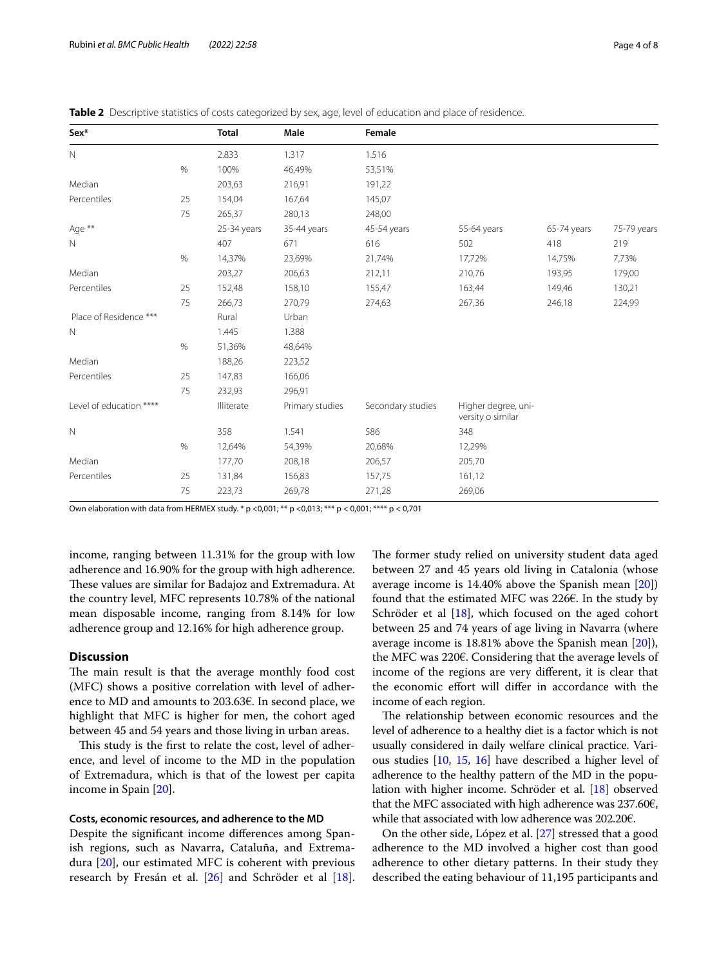| Sex*                    |      | <b>Total</b> | Male            | Female            |                                          |             |             |
|-------------------------|------|--------------|-----------------|-------------------|------------------------------------------|-------------|-------------|
| $\mathbb N$             |      | 2.833        | 1.317           | 1.516             |                                          |             |             |
|                         | $\%$ | 100%         | 46,49%          | 53,51%            |                                          |             |             |
| Median                  |      | 203,63       | 216,91          | 191,22            |                                          |             |             |
| Percentiles             | 25   | 154,04       | 167,64          | 145,07            |                                          |             |             |
|                         | 75   | 265,37       | 280,13          | 248,00            |                                          |             |             |
| Age **                  |      | 25-34 years  | 35-44 years     | 45-54 years       | 55-64 years                              | 65-74 years | 75-79 years |
| $\mathbb N$             |      | 407          | 671             | 616               | 502                                      | 418         | 219         |
|                         | $\%$ | 14,37%       | 23,69%          | 21,74%            | 17,72%                                   | 14,75%      | 7,73%       |
| Median                  |      | 203,27       | 206,63          | 212,11            | 210,76                                   | 193,95      | 179,00      |
| Percentiles             | 25   | 152,48       | 158,10          | 155,47            | 163,44                                   | 149,46      | 130,21      |
|                         | 75   | 266,73       | 270,79          | 274,63            | 267,36                                   | 246,18      | 224,99      |
| Place of Residence ***  |      | Rural        | Urban           |                   |                                          |             |             |
| $\mathbb N$             |      | 1.445        | 1.388           |                   |                                          |             |             |
|                         | %    | 51,36%       | 48,64%          |                   |                                          |             |             |
| Median                  |      | 188,26       | 223,52          |                   |                                          |             |             |
| Percentiles             | 25   | 147,83       | 166,06          |                   |                                          |             |             |
|                         | 75   | 232,93       | 296,91          |                   |                                          |             |             |
| Level of education **** |      | Illiterate   | Primary studies | Secondary studies | Higher degree, uni-<br>versity o similar |             |             |
| $\mathbb N$             |      | 358          | 1.541           | 586               | 348                                      |             |             |
|                         | %    | 12,64%       | 54,39%          | 20,68%            | 12,29%                                   |             |             |
| Median                  |      | 177,70       | 208,18          | 206,57            | 205,70                                   |             |             |
| Percentiles             | 25   | 131,84       | 156,83          | 157,75            | 161,12                                   |             |             |
|                         | 75   | 223,73       | 269,78          | 271,28            | 269,06                                   |             |             |

<span id="page-3-0"></span>

|  |  |  |  |  | Table 2 Descriptive statistics of costs categorized by sex, age, level of education and place of residence. |
|--|--|--|--|--|-------------------------------------------------------------------------------------------------------------|
|--|--|--|--|--|-------------------------------------------------------------------------------------------------------------|

Own elaboration with data from HERMEX study. \* p <0,001; \*\* p <0,013; \*\*\* p < 0,001; \*\*\*\* p < 0,701

income, ranging between 11.31% for the group with low adherence and 16.90% for the group with high adherence. These values are similar for Badajoz and Extremadura. At the country level, MFC represents 10.78% of the national mean disposable income, ranging from 8.14% for low adherence group and 12.16% for high adherence group.

## **Discussion**

The main result is that the average monthly food cost (MFC) shows a positive correlation with level of adherence to MD and amounts to 203.63€. In second place, we highlight that MFC is higher for men, the cohort aged between 45 and 54 years and those living in urban areas.

This study is the first to relate the cost, level of adherence, and level of income to the MD in the population of Extremadura, which is that of the lowest per capita income in Spain [[20\]](#page-7-18).

## **Costs, economic resources, and adherence to the MD**

Despite the signifcant income diferences among Spanish regions, such as Navarra, Cataluña, and Extremadura [[20\]](#page-7-18), our estimated MFC is coherent with previous research by Fresán et al. [[26\]](#page-7-24) and Schröder et al [\[18](#page-7-16)]. The former study relied on university student data aged between 27 and 45 years old living in Catalonia (whose average income is 14.40% above the Spanish mean [\[20](#page-7-18)]) found that the estimated MFC was 226€. In the study by Schröder et al [\[18](#page-7-16)], which focused on the aged cohort between 25 and 74 years of age living in Navarra (where average income is 18.81% above the Spanish mean [\[20\]](#page-7-18)), the MFC was 220€. Considering that the average levels of income of the regions are very diferent, it is clear that the economic efort will difer in accordance with the income of each region.

The relationship between economic resources and the level of adherence to a healthy diet is a factor which is not usually considered in daily welfare clinical practice. Various studies [[10](#page-7-8), [15,](#page-7-9) [16\]](#page-7-11) have described a higher level of adherence to the healthy pattern of the MD in the population with higher income. Schröder et al. [[18](#page-7-16)] observed that the MFC associated with high adherence was  $237.60\epsilon$ , while that associated with low adherence was 202.20€.

On the other side, López et al. [[27\]](#page-7-25) stressed that a good adherence to the MD involved a higher cost than good adherence to other dietary patterns. In their study they described the eating behaviour of 11,195 participants and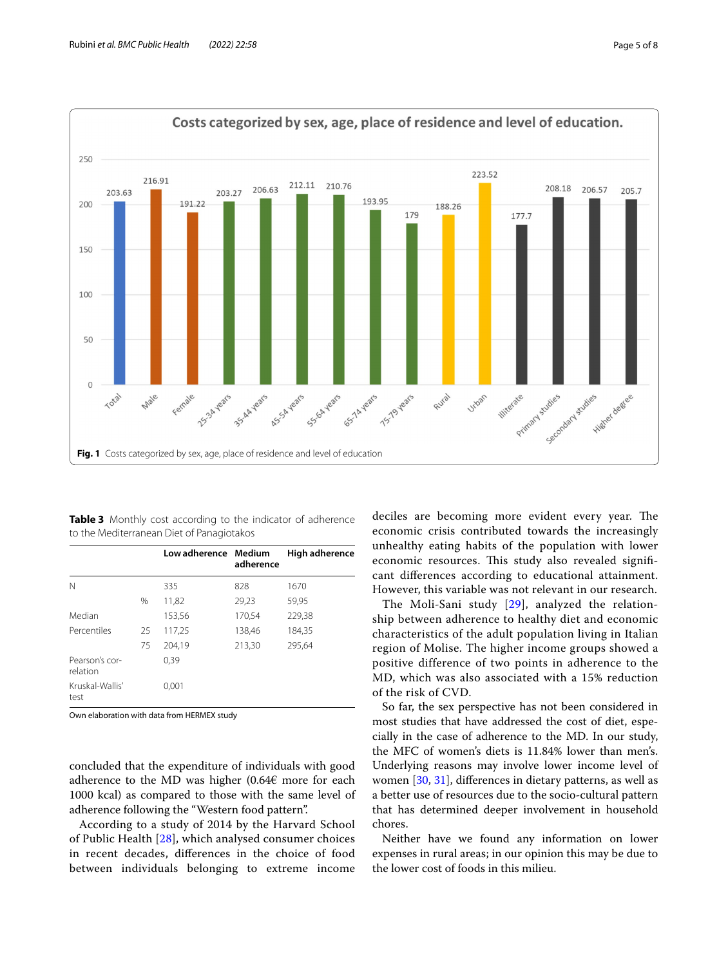

<span id="page-4-1"></span><span id="page-4-0"></span>**Table 3** Monthly cost according to the indicator of adherence to the Mediterranean Diet of Panagiotakos

|                            |    | Low adherence Medium | adherence | High adherence |
|----------------------------|----|----------------------|-----------|----------------|
| N                          |    | 335                  | 828       | 1670           |
|                            | %  | 11,82                | 29,23     | 59,95          |
| Median                     |    | 153,56               | 170,54    | 229,38         |
| Percentiles                | 25 | 117,25               | 138,46    | 184,35         |
|                            | 75 | 204,19               | 213,30    | 295,64         |
| Pearson's cor-<br>relation |    | 0,39                 |           |                |
| Kruskal-Wallis'<br>test    |    | 0,001                |           |                |

Own elaboration with data from HERMEX study

concluded that the expenditure of individuals with good adherence to the MD was higher  $(0.64\epsilon$  more for each 1000 kcal) as compared to those with the same level of adherence following the "Western food pattern".

According to a study of 2014 by the Harvard School of Public Health [[28\]](#page-7-26), which analysed consumer choices in recent decades, diferences in the choice of food between individuals belonging to extreme income deciles are becoming more evident every year. The economic crisis contributed towards the increasingly unhealthy eating habits of the population with lower economic resources. This study also revealed significant diferences according to educational attainment. However, this variable was not relevant in our research.

The Moli-Sani study [\[29\]](#page-7-27), analyzed the relationship between adherence to healthy diet and economic characteristics of the adult population living in Italian region of Molise. The higher income groups showed a positive difference of two points in adherence to the MD, which was also associated with a 15% reduction of the risk of CVD.

So far, the sex perspective has not been considered in most studies that have addressed the cost of diet, especially in the case of adherence to the MD. In our study, the MFC of women's diets is 11.84% lower than men's. Underlying reasons may involve lower income level of women [[30,](#page-7-28) [31](#page-7-29)], diferences in dietary patterns, as well as a better use of resources due to the socio-cultural pattern that has determined deeper involvement in household chores.

Neither have we found any information on lower expenses in rural areas; in our opinion this may be due to the lower cost of foods in this milieu.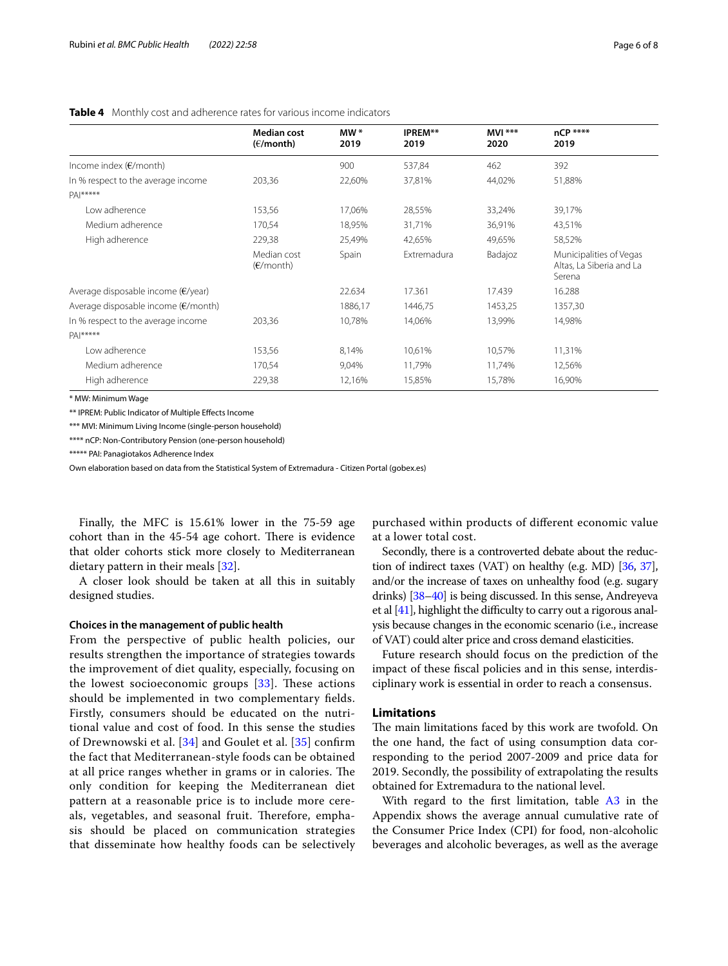<span id="page-5-0"></span>

|                                               | <b>Median cost</b>       | $MW*$   | IPREM**     | $MVI$ *** | nCP ****                                                      |
|-----------------------------------------------|--------------------------|---------|-------------|-----------|---------------------------------------------------------------|
|                                               | (E/month)                | 2019    | 2019        | 2020      | 2019                                                          |
| Income index $(E/month)$                      |                          | 900     | 537,84      | 462       | 392                                                           |
| In % respect to the average income            | 203,36                   | 22,60%  | 37,81%      | 44,02%    | 51,88%                                                        |
| $PA ****$                                     |                          |         |             |           |                                                               |
| Low adherence                                 | 153,56                   | 17,06%  | 28,55%      | 33,24%    | 39,17%                                                        |
| Medium adherence                              | 170,54                   | 18,95%  | 31,71%      | 36,91%    | 43,51%                                                        |
| High adherence                                | 229,38                   | 25,49%  | 42,65%      | 49,65%    | 58,52%                                                        |
|                                               | Median cost<br>(E/month) | Spain   | Extremadura | Badajoz   | Municipalities of Vegas<br>Altas, La Siberia and La<br>Serena |
| Average disposable income $(\epsilon$ /year)  |                          | 22.634  | 17.361      | 17.439    | 16.288                                                        |
| Average disposable income $(\epsilon$ /month) |                          | 1886,17 | 1446,75     | 1453,25   | 1357,30                                                       |
| In % respect to the average income            | 203,36                   | 10,78%  | 14,06%      | 13,99%    | 14,98%                                                        |
| $PA ****$                                     |                          |         |             |           |                                                               |
| Low adherence                                 | 153,56                   | 8,14%   | 10,61%      | 10,57%    | 11,31%                                                        |
| Medium adherence                              | 170,54                   | 9,04%   | 11,79%      | 11,74%    | 12,56%                                                        |
| High adherence                                | 229,38                   | 12,16%  | 15,85%      | 15,78%    | 16,90%                                                        |

\* MW: Minimum Wage

\*\* IPREM: Public Indicator of Multiple Efects Income

\*\*\* MVI: Minimum Living Income (single-person household)

\*\*\*\* nCP: Non-Contributory Pension (one-person household)

\*\*\*\*\* PAI: Panagiotakos Adherence Index

Own elaboration based on data from the Statistical System of Extremadura - Citizen Portal (gobex.es)

Finally, the MFC is 15.61% lower in the 75-59 age cohort than in the 45-54 age cohort. There is evidence that older cohorts stick more closely to Mediterranean dietary pattern in their meals [\[32\]](#page-7-30).

A closer look should be taken at all this in suitably designed studies.

## **Choices in the management of public health**

From the perspective of public health policies, our results strengthen the importance of strategies towards the improvement of diet quality, especially, focusing on the lowest socioeconomic groups  $[33]$  $[33]$ . These actions should be implemented in two complementary felds. Firstly, consumers should be educated on the nutritional value and cost of food. In this sense the studies of Drewnowski et al. [\[34](#page-7-32)] and Goulet et al. [\[35\]](#page-7-33) confrm the fact that Mediterranean-style foods can be obtained at all price ranges whether in grams or in calories. The only condition for keeping the Mediterranean diet pattern at a reasonable price is to include more cereals, vegetables, and seasonal fruit. Therefore, emphasis should be placed on communication strategies that disseminate how healthy foods can be selectively

purchased within products of diferent economic value at a lower total cost.

Secondly, there is a controverted debate about the reduction of indirect taxes (VAT) on healthy (e.g. MD) [\[36,](#page-7-34) [37](#page-7-35)], and/or the increase of taxes on unhealthy food (e.g. sugary drinks) [\[38–](#page-7-36)[40\]](#page-7-37) is being discussed. In this sense, Andreyeva et al  $[41]$  $[41]$  $[41]$ , highlight the difficulty to carry out a rigorous analysis because changes in the economic scenario (i.e., increase of VAT) could alter price and cross demand elasticities.

Future research should focus on the prediction of the impact of these fscal policies and in this sense, interdisciplinary work is essential in order to reach a consensus.

## **Limitations**

The main limitations faced by this work are twofold. On the one hand, the fact of using consumption data corresponding to the period 2007-2009 and price data for 2019. Secondly, the possibility of extrapolating the results obtained for Extremadura to the national level.

With regard to the first limitation, table [A3](#page-6-0) in the Appendix shows the average annual cumulative rate of the Consumer Price Index (CPI) for food, non-alcoholic beverages and alcoholic beverages, as well as the average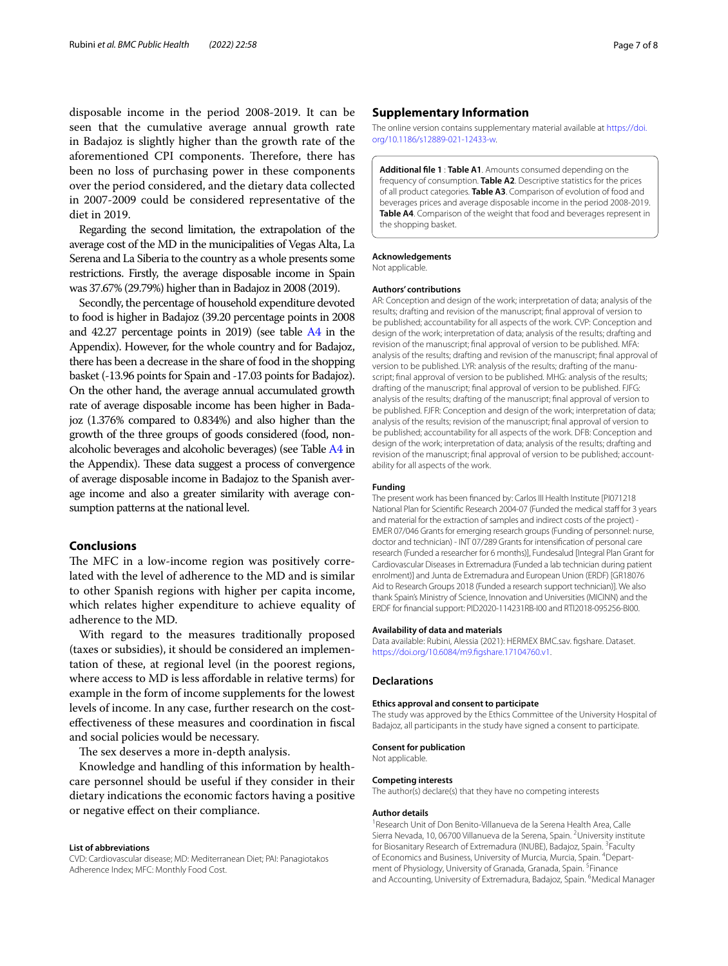disposable income in the period 2008-2019. It can be seen that the cumulative average annual growth rate in Badajoz is slightly higher than the growth rate of the aforementioned CPI components. Therefore, there has been no loss of purchasing power in these components over the period considered, and the dietary data collected in 2007-2009 could be considered representative of the diet in 2019.

Regarding the second limitation, the extrapolation of the average cost of the MD in the municipalities of Vegas Alta, La Serena and La Siberia to the country as a whole presents some restrictions. Firstly, the average disposable income in Spain was 37.67% (29.79%) higher than in Badajoz in 2008 (2019).

Secondly, the percentage of household expenditure devoted to food is higher in Badajoz (39.20 percentage points in 2008 and 42.27 percentage points in 2019) (see table [A4](#page-6-0) in the Appendix). However, for the whole country and for Badajoz, there has been a decrease in the share of food in the shopping basket (-13.96 points for Spain and -17.03 points for Badajoz). On the other hand, the average annual accumulated growth rate of average disposable income has been higher in Badajoz (1.376% compared to 0.834%) and also higher than the growth of the three groups of goods considered (food, nonalcoholic beverages and alcoholic beverages) (see Table [A4](#page-6-0) in the Appendix). These data suggest a process of convergence of average disposable income in Badajoz to the Spanish average income and also a greater similarity with average consumption patterns at the national level.

## **Conclusions**

The MFC in a low-income region was positively correlated with the level of adherence to the MD and is similar to other Spanish regions with higher per capita income, which relates higher expenditure to achieve equality of adherence to the MD.

With regard to the measures traditionally proposed (taxes or subsidies), it should be considered an implementation of these, at regional level (in the poorest regions, where access to MD is less afordable in relative terms) for example in the form of income supplements for the lowest levels of income. In any case, further research on the costefectiveness of these measures and coordination in fscal and social policies would be necessary.

The sex deserves a more in-depth analysis.

Knowledge and handling of this information by healthcare personnel should be useful if they consider in their dietary indications the economic factors having a positive or negative efect on their compliance.

#### **List of abbreviations**

CVD: Cardiovascular disease; MD: Mediterranean Diet; PAI: Panagiotakos Adherence Index; MFC: Monthly Food Cost.

### **Supplementary Information**

The online version contains supplementary material available at [https://doi.](https://doi.org/10.1186/s12889-021-12433-w) [org/10.1186/s12889-021-12433-w.](https://doi.org/10.1186/s12889-021-12433-w)

<span id="page-6-0"></span>**Additional fle 1** : **Table A1**. Amounts consumed depending on the frequency of consumption. **Table A2**. Descriptive statistics for the prices of all product categories. **Table A3**. Comparison of evolution of food and beverages prices and average disposable income in the period 2008-2019. **Table A4**. Comparison of the weight that food and beverages represent in the shopping basket.

#### **Acknowledgements**

Not applicable.

#### **Authors' contributions**

AR: Conception and design of the work; interpretation of data; analysis of the results; drafting and revision of the manuscript; fnal approval of version to be published; accountability for all aspects of the work. CVP: Conception and design of the work; interpretation of data; analysis of the results; drafting and revision of the manuscript; fnal approval of version to be published. MFA: analysis of the results; drafting and revision of the manuscript; fnal approval of version to be published. LYR: analysis of the results; drafting of the manuscript; fnal approval of version to be published. MHG: analysis of the results; drafting of the manuscript; fnal approval of version to be published. FJFG: analysis of the results; drafting of the manuscript; fnal approval of version to be published. FJFR: Conception and design of the work; interpretation of data; analysis of the results; revision of the manuscript; fnal approval of version to be published; accountability for all aspects of the work. DFB: Conception and design of the work; interpretation of data; analysis of the results; drafting and revision of the manuscript; final approval of version to be published; accountability for all aspects of the work.

#### **Funding**

The present work has been fnanced by: Carlos III Health Institute [PI071218 National Plan for Scientific Research 2004-07 (Funded the medical staff for 3 years and material for the extraction of samples and indirect costs of the project) -EMER 07/046 Grants for emerging research groups (Funding of personnel: nurse, doctor and technician) - INT 07/289 Grants for intensifcation of personal care research (Funded a researcher for 6 months)], Fundesalud [Integral Plan Grant for Cardiovascular Diseases in Extremadura (Funded a lab technician during patient enrolment)] and Junta de Extremadura and European Union (ERDF) [GR18076 Aid to Research Groups 2018 (Funded a research support technician)]. We also thank Spain's Ministry of Science, Innovation and Universities (MICINN) and the ERDF for fnancial support: PID2020-114231RB-I00 and RTI2018-095256-BI00.

#### **Availability of data and materials**

Data available: Rubini, Alessia (2021): HERMEX BMC.sav. fgshare. Dataset. [https://doi.org/10.6084/m9.fgshare.17104760.v1](https://doi.org/10.6084/m9.figshare.17104760.v1).

#### **Declarations**

#### **Ethics approval and consent to participate**

The study was approved by the Ethics Committee of the University Hospital of Badajoz, all participants in the study have signed a consent to participate.

#### **Consent for publication**

Not applicable.

#### **Competing interests**

The author(s) declare(s) that they have no competing interests

#### **Author details**

<sup>1</sup> Research Unit of Don Benito-Villanueva de la Serena Health Area, Calle Sierra Nevada, 10, 06700 Villanueva de la Serena, Spain. <sup>2</sup> University institute for Biosanitary Research of Extremadura (INUBE), Badajoz, Spain. <sup>3</sup> Faculty of Economics and Business, University of Murcia, Murcia, Spain. <sup>4</sup>Department of Physiology, University of Granada, Granada, Spain. <sup>5</sup>Finance and Accounting, University of Extremadura, Badajoz, Spain. <sup>6</sup>Medical Manager